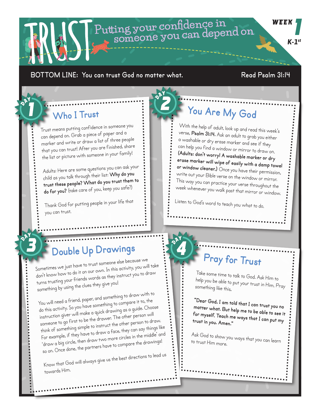## **Putting your confidence in someone you can depend on**

#### **BOTTOM LINE: You can trust God no matter what. Read Psalm 31:14**

## **Who I Trust**

Trust means putting confidence in someone you can depend on. Grab a piece of paper and a marker and write or draw a list of three people that you can trust! After you are finished, share the list or picture with someone in your family!

Adults: Here are some questions you can ask your child as you talk through their list: **Why do you trust these people? What do you trust them to do for you?** (take care of you, keep you safe?)

Thank God for putting people in your life that you can trust.

## **You Are My God**

With the help of adult, look up and read this week's verse, **Psalm 31:14.** Ask an adult to grab you either a washable or dry erase marker and see if they can help you find a window or mirror to draw on. **(Adults: don't worry! A washable marker or dry erase marker will wipe of easily with a damp towel or window cleaner.)** Once you have their permission, write out your Bible verse on the window or mirror. This way you can practice your verse throughout the week whenever you walk past that mirror or window.

Listen to God's word to teach you what to do.

## **Double Up Drawings**

Sometimes we just have to trust someone else because we don't know how to do it on our own. In this activity, you will take turns trusting your friends words as they instruct you to draw something by using the clues they give you!

You will need a friend, paper, and something to draw with to do this activity. So you have something to compare it to, the instruction giver will make a quick drawing as a guide. Choose someone to go first to be the drawer. The other person will think of something simple to instruct the other person to draw. For example, if they have to draw a face, they can say things like 'draw a big circle, then draw two more circles in the middle' and so on. Once done, the partners have to compare the drawings!

Know that God will always give us the best directions to lead us towards Him.

# **Pray for Trust**

Take some time to talk to God. Ask Him to help you be able to put your trust in Him. Pray something like this,

**"Dear God, I am told that I can trust you no matter what. But help me to be able to see it for myself. Teach me ways that I can put my trust in you. Amen."** 

Ask God to show you ways that you can learn to trust Him more.

**WEEK** *K-1st*